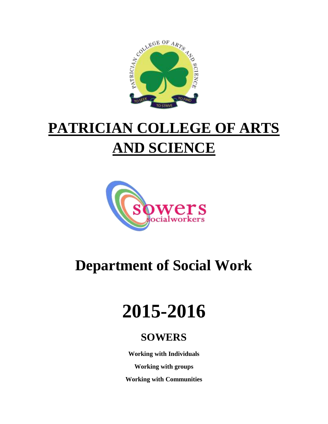

## **PATRICIAN COLLEGE OF ARTS AND SCIENCE**



### **Department of Social Work**

# **2015-2016**

### **SOWERS**

**Working with Individuals**

**Working with groups**

**Working with Communities**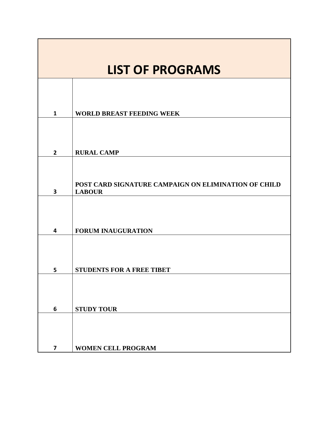| <b>LIST OF PROGRAMS</b> |                                                                       |
|-------------------------|-----------------------------------------------------------------------|
|                         |                                                                       |
| $\mathbf{1}$            | <b>WORLD BREAST FEEDING WEEK</b>                                      |
|                         |                                                                       |
| $\overline{2}$          | <b>RURAL CAMP</b>                                                     |
| 3                       | POST CARD SIGNATURE CAMPAIGN ON ELIMINATION OF CHILD<br><b>LABOUR</b> |
|                         |                                                                       |
| 4                       | <b>FORUM INAUGURATION</b>                                             |
| 5                       | <b>STUDENTS FOR A FREE TIBET</b>                                      |
|                         |                                                                       |
| 6                       | <b>STUDY TOUR</b>                                                     |
| $\overline{\mathbf{z}}$ | <b>WOMEN CELL PROGRAM</b>                                             |

J.

**The Common**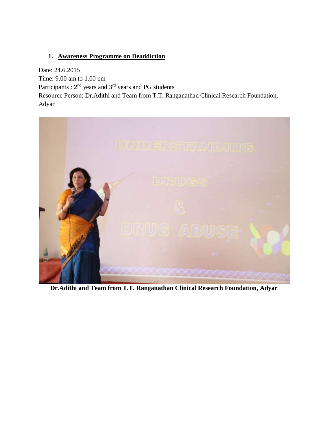#### **1. Awareness Programme on Deaddiction**

Date: 24.6.2015 Time: 9.00 am to 1.00 pm Participants : 2<sup>nd</sup> years and 3<sup>rd</sup> years and PG students Resource Person: Dr.Adithi and Team from T.T. Ranganathan Clinical Research Foundation, Adyar



**Dr.Adithi and Team from T.T. Ranganathan Clinical Research Foundation, Adyar**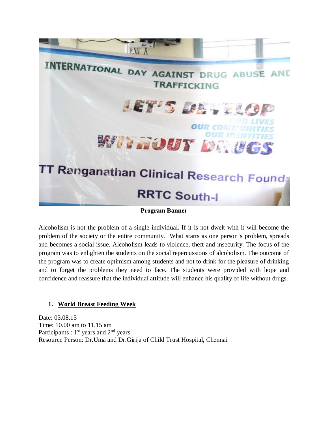

**Program Banner**

Alcoholism is not the problem of a single individual. If it is not dwelt with it will become the problem of the society or the entire community. What starts as one person's problem, spreads and becomes a social issue. Alcoholism leads to violence, theft and insecurity. The focus of the program was to enlighten the students on the social repercussions of alcoholism. The outcome of the program was to create optimism among students and not to drink for the pleasure of drinking and to forget the problems they need to face. The students were provided with hope and confidence and reassure that the individual attitude will enhance his quality of life without drugs.

#### **1. World Breast Feeding Week**

Date: 03.08.15 Time: 10.00 am to 11.15 am Participants :  $1<sup>st</sup>$  years and  $2<sup>nd</sup>$  years Resource Person: Dr.Uma and Dr.Girija of Child Trust Hospital, Chennai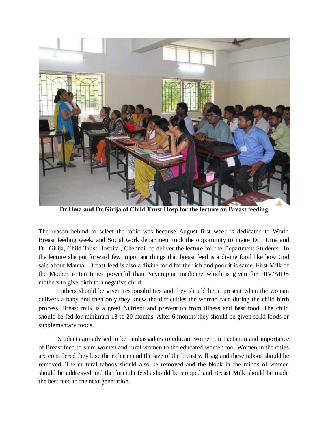

**Dr.Uma and Dr.Girija of Child Trust Hosp for the lecture on Breast feeding**

The reason behind to select the topic was because August first week is dedicated to World Breast feeding week, and Social work department took the opportunity to invite Dr. Uma and Dr. Girija, Child Trust Hospital, Chennai to deliver the lecture for the Department Students. In the lecture she put forward few important things that breast feed is a divine food like how God said about Manna. Breast feed is also a divine food for the rich and poor it is same. First Milk of the Mother is ten times powerful than Neverapine medicine which is given for HIV/AIDS mothers to give birth to a negative child.

Fathers should be given responsibilities and they should be at present when the woman delivers a baby and then only they knew the difficulties the woman face during the child birth process. Breast milk is a great Nutrient and prevention from illness and best food. The child should be fed for minimum 18 to 20 months. After 6 months they should be given solid foods or supplementary foods.

Students are advised to be ambassadors to educate women on Lactation and importance of Breast feed to slum women and rural women to the educated women too. Women in the cities are considered they lose their charm and the size of the breast will sag and these taboos should be removed. The cultural taboos should also be removed and the block in the minds of women should be addressed and the formula feeds should be stopped and Breast Milk should be made the best feed to the next generation.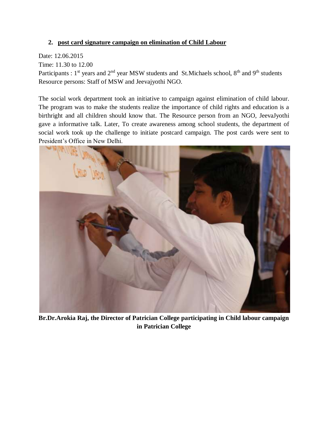#### **2. post card signature campaign on elimination of Child Labour**

#### Date: 12.06.2015

Time: 11.30 to 12.00

Participants :  $1<sup>st</sup>$  years and  $2<sup>nd</sup>$  year MSW students and St.Michaels school,  $8<sup>th</sup>$  and  $9<sup>th</sup>$  students Resource persons: Staff of MSW and Jeevajyothi NGO.

The social work department took an initiative to campaign against elimination of child labour. The program was to make the students realize the importance of child rights and education is a birthright and all children should know that. The Resource person from an NGO, JeevaJyothi gave a informative talk. Later, To create awareness among school students, the department of social work took up the challenge to initiate postcard campaign. The post cards were sent to President's Office in New Delhi.



**Br.Dr.Arokia Raj, the Director of Patrician College participating in Child labour campaign in Patrician College**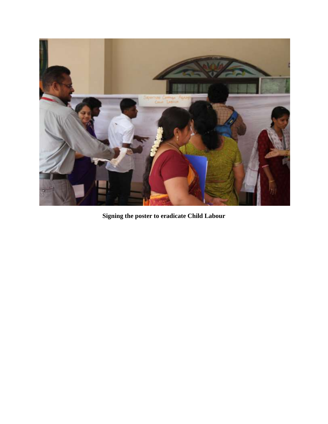

**Signing the poster to eradicate Child Labour**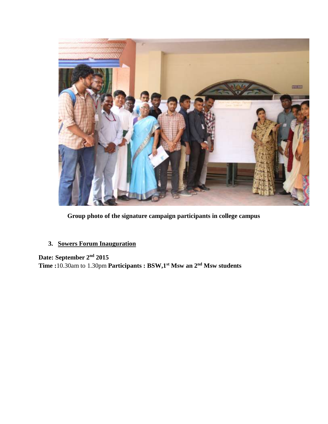

**Group photo of the signature campaign participants in college campus**

#### **3. Sowers Forum Inauguration**

**Date: September 2nd 2015 Time :**10.30am to 1.30pm **Participants : BSW,1st Msw an 2nd Msw students**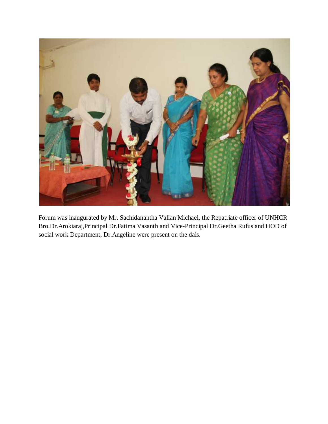

Forum was inaugurated by Mr. Sachidanantha Vallan Michael, the Repatriate officer of UNHCR Bro.Dr.Arokiaraj,Principal Dr.Fatima Vasanth and Vice-Principal Dr.Geetha Rufus and HOD of social work Department, Dr.Angeline were present on the dais.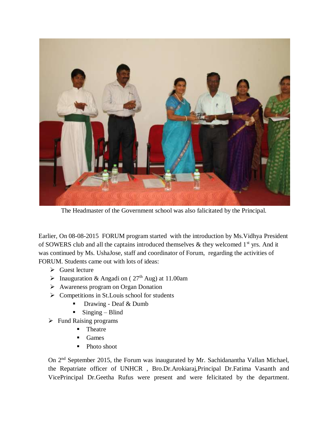

The Headmaster of the Government school was also falicitated by the Principal.

Earlier, On 08-08-2015 FORUM program started with the introduction by Ms.Vidhya President of SOWERS club and all the captains introduced themselves  $\&$  they welcomed 1<sup>st</sup> yrs. And it was continued by Ms. UshaJose, staff and coordinator of Forum, regarding the activities of FORUM. Students came out with lots of ideas:

- $\triangleright$  Guest lecture
- $\triangleright$  Inauguration & Angadi on (27<sup>th</sup> Aug) at 11.00am
- Awareness program on Organ Donation
- $\triangleright$  Competitions in St. Louis school for students
	- Drawing Deaf & Dumb
	- $\blacksquare$  Singing Blind
- $\triangleright$  Fund Raising programs
	- Theatre
	- Games
	- Photo shoot

On 2<sup>nd</sup> September 2015, the Forum was inaugurated by Mr. Sachidanantha Vallan Michael, the Repatriate officer of UNHCR , Bro.Dr.Arokiaraj,Principal Dr.Fatima Vasanth and VicePrincipal Dr.Geetha Rufus were present and were felicitated by the department.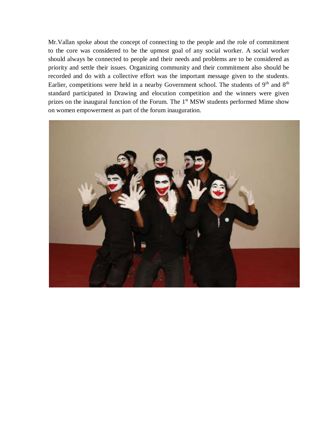Mr.Vallan spoke about the concept of connecting to the people and the role of commitment to the core was considered to be the upmost goal of any social worker. A social worker should always be connected to people and their needs and problems are to be considered as priority and settle their issues. Organizing community and their commitment also should be recorded and do with a collective effort was the important message given to the students. Earlier, competitions were held in a nearby Government school. The students of 9<sup>th</sup> and 8<sup>th</sup> standard participated in Drawing and elocution competition and the winners were given prizes on the inaugural function of the Forum. The 1<sup>st</sup> MSW students performed Mime show on women empowerment as part of the forum inauguration.

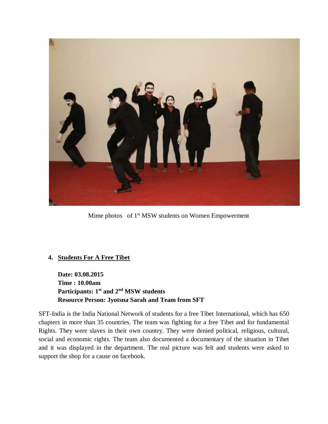

Mime photos of 1<sup>st</sup> MSW students on Women Empowerment

#### **4. Students For A Free Tibet**

**Date: 03.08.2015 Time : 10.00am Participants: 1st and 2nd MSW students Resource Person: Jyotsna Sarah and Team from SFT**

SFT-India is the India National Network of students for a free Tibet International, which has 650 chapters in more than 35 countries. The team was fighting for a free Tibet and for fundamental Rights. They were slaves in their own country. They were denied political, religious, cultural, social and economic rights. The team also documented a documentary of the situation in Tibet and it was displayed in the department. The real picture was felt and students were asked to support the shop for a cause on facebook.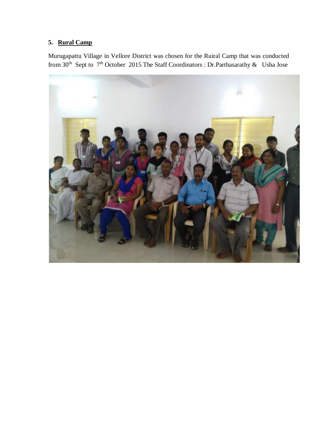#### **5. Rural Camp**

Murugapattu Village in Vellore District was chosen for the Ruiral Camp that was conducted from 30<sup>th</sup> Sept to 7<sup>th</sup> October 2015 The Staff Coordinators : Dr.Parthasarathy & Usha Jose

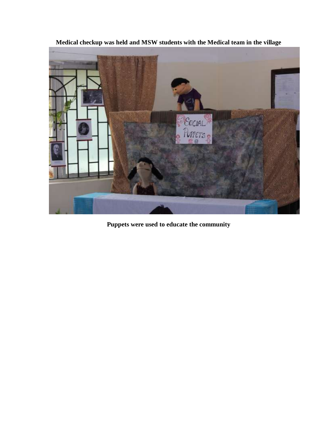

**Medical checkup was held and MSW students with the Medical team in the village**

**Puppets were used to educate the community**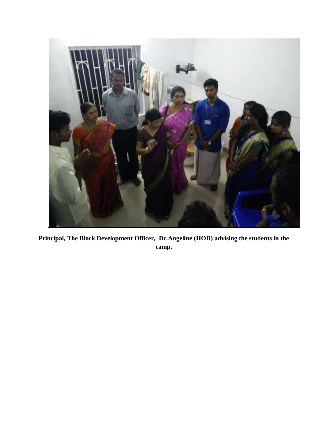

**Principal, The Block Development Officer, Dr.Angeline (HOD) advising the students in the camp.**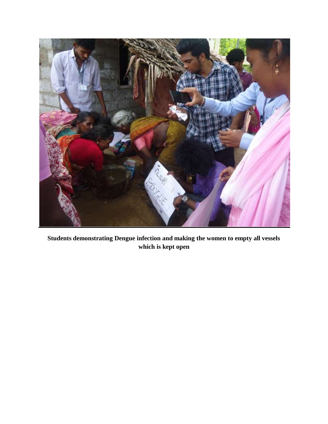

**Students demonstrating Dengue infection and making the women to empty all vessels which is kept open**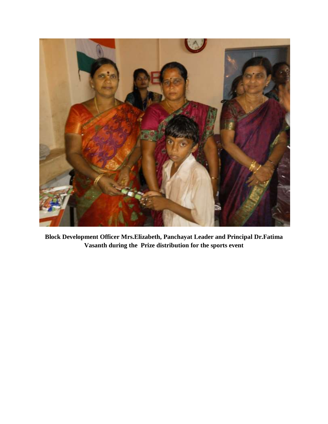

**Block Development Officer Mrs.Elizabeth, Panchayat Leader and Principal Dr.Fatima Vasanth during the Prize distribution for the sports event**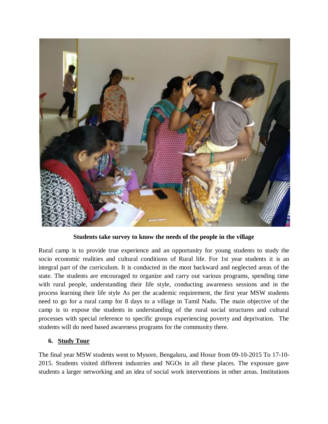

**Students take survey to know the needs of the people in the village**

Rural camp is to provide true experience and an opportunity for young students to study the socio economic realities and cultural conditions of Rural life. For 1st year students it is an integral part of the curriculum. It is conducted in the most backward and neglected areas of the state. The students are encouraged to organize and carry out various programs, spending time with rural people, understanding their life style, conducting awareness sessions and in the process learning their life style As per the academic requirement, the first year MSW students need to go for a rural camp for 8 days to a village in Tamil Nadu. The main objective of the camp is to expose the students in understanding of the rural social structures and cultural processes with special reference to specific groups experiencing poverty and deprivation. The students will do need based awareness programs for the community there.

#### **6. Study Tour**

The final year MSW students went to Mysore, Bengaluru, and Hosur from 09-10-2015 To 17-10- 2015. Students visited different industries and NGOs in all these places. The exposure gave students a larger networking and an idea of social work interventions in other areas. Institutions